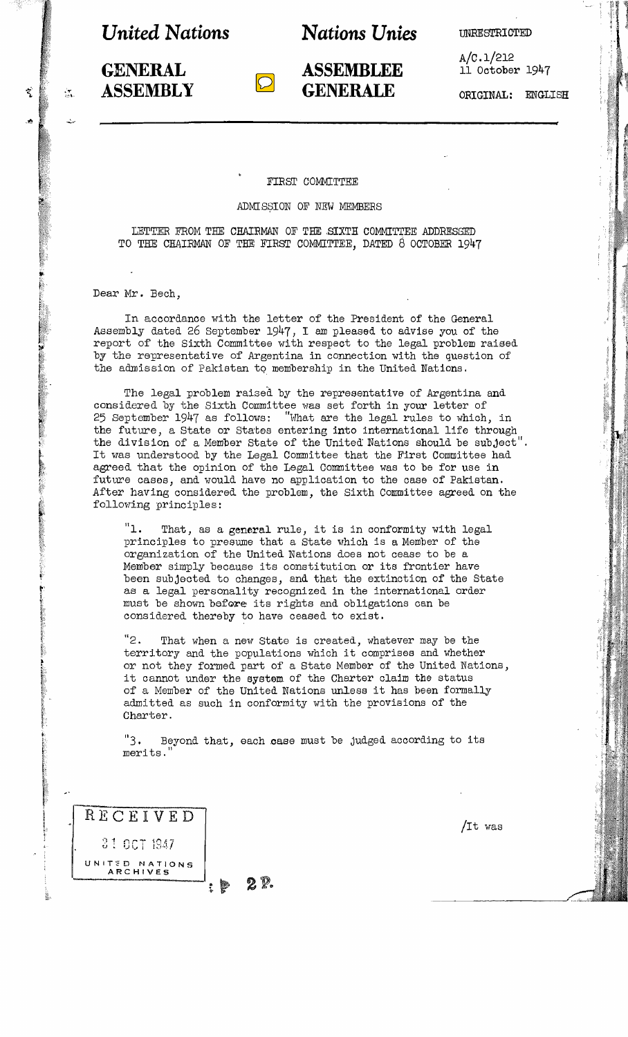*United* **Nations <b>Mations Unies EXECUTED UNRESTRICTED** 

A/c.1/212 11 October 1947

**ASSEMBLY GENERALE** ORIGINAL: ENGLISH

**GENERAL ASSEMBLEE** 

FIRST COMMITTEE

ADMISSION OF NEW MEMBERS

LETTER FROM THE CHAIRMAN OF THE SIXTH COMMITTEE ADDRESSED TO THE CHAIRMAN OF TEE FIRST COMMITTEE, DATED 8 OCTOBER 1947

Dear Mr. Bech,

 $\ddot{\phantom{0}}$ 

In accordance with the letter of the President of the General Assembly dated 26 September 1947, I am pleased to advise you of the report of the Sixth Committee with respect to the legal problem raised by the representative of Argentina in connection with the question of the admission of Pakistan to membership in the United Nations.

The legal problem raised by the representative of Argentina and considered by the Sixth Committee was set forth in your letter of 25 September 1947 as follows: "What are the legal rules to which, in the future, a State or States entering into international life through the division of a Member State of the United Nations should be subject". It was understood by the Legal Committee that the First Committee had agreed that the opinion of the Legal Committee was to be for use in future cases, and would have no application to the case of Pakistan. After *haVing* considered the problem, the Sixth Committee agreed on the following principles:

"1. That, as a general rule, it is in conformity with legal principles to presume that a State which is a Member of the organization of the United Nations does not cease to be a Member simply because its constitution or its frontier have been subjected to changes, and that the extinction of the State as a legal personality recognized in the international order must be shown before its rights and obligations can be considered thereby to have ceased to exist.

"2. That when a new State is created, whatever may be the territory and the populations which it comprises and whether or not they formed part of a State Member of the United Nations, it cannot under the system. of the Charter claim the status of <sup>a</sup> Member of the United Nations unless it has been formally admitted as such in conformity with the provisions of the Charter.

"3. Beyond that, each caae must be judged according to its merits.

| RECEIVED                          |
|-----------------------------------|
| 31.001.1947                       |
| UNITED NATIONS<br><b>ARCHIVES</b> |
|                                   |

*lIt* was

: P 2P.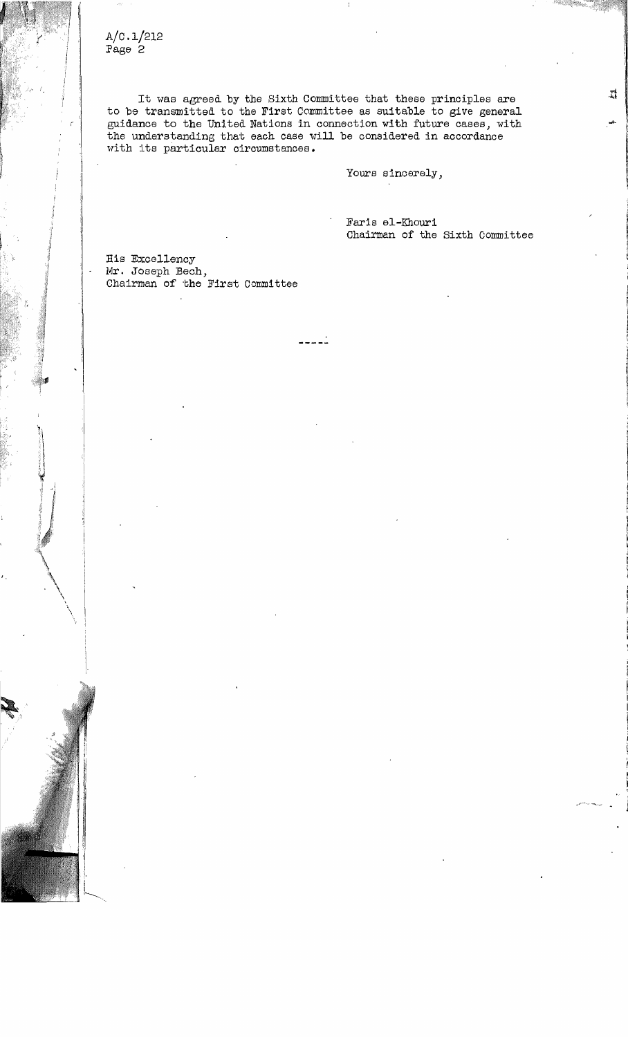$A/C.1/212$ Page 2

It was agreed by the Sixth Committee that these principles are to be transmitted to the First Committee as suitable to give general guidance to the United Nations in connection with future cases, with the understanding that each case will be considered in accordance with its particular circumstances.

. . . . .

Yours sincerely,

Faris el-Khouri Chairman of the Sixth Committee

His Excellency Mr. Joseph Bech,  $\overline{\text{Chairman}}$  of the First Committee